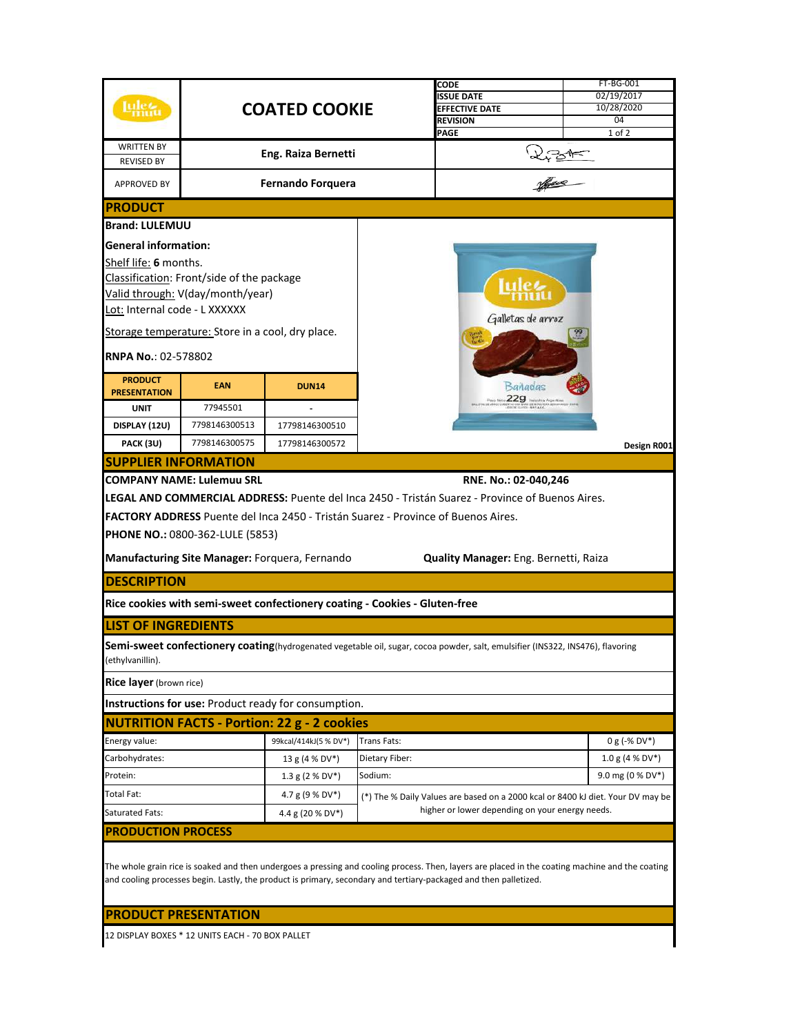|                                                                                                                                                  |                                                  |                                                                                   |                                                                                                                                    | CODE                                                                                                                            | FT-BG-001         |  |  |  |  |
|--------------------------------------------------------------------------------------------------------------------------------------------------|--------------------------------------------------|-----------------------------------------------------------------------------------|------------------------------------------------------------------------------------------------------------------------------------|---------------------------------------------------------------------------------------------------------------------------------|-------------------|--|--|--|--|
|                                                                                                                                                  |                                                  |                                                                                   |                                                                                                                                    | <b>ISSUE DATE</b>                                                                                                               | 02/19/2017        |  |  |  |  |
|                                                                                                                                                  |                                                  | <b>COATED COOKIE</b>                                                              |                                                                                                                                    | <b>EFFECTIVE DATE</b><br><b>REVISION</b>                                                                                        | 10/28/2020<br>04  |  |  |  |  |
|                                                                                                                                                  |                                                  |                                                                                   |                                                                                                                                    | PAGE                                                                                                                            | 1 of 2            |  |  |  |  |
| <b>WRITTEN BY</b>                                                                                                                                |                                                  | Eng. Raiza Bernetti                                                               |                                                                                                                                    |                                                                                                                                 |                   |  |  |  |  |
| <b>REVISED BY</b>                                                                                                                                |                                                  |                                                                                   |                                                                                                                                    | 2,3AF                                                                                                                           |                   |  |  |  |  |
| APPROVED BY                                                                                                                                      |                                                  | <b>Fernando Forquera</b>                                                          |                                                                                                                                    |                                                                                                                                 |                   |  |  |  |  |
| <b>PRODUCT</b>                                                                                                                                   |                                                  |                                                                                   |                                                                                                                                    |                                                                                                                                 |                   |  |  |  |  |
| <b>Brand: LULEMUU</b>                                                                                                                            |                                                  |                                                                                   |                                                                                                                                    |                                                                                                                                 |                   |  |  |  |  |
| <b>General information:</b>                                                                                                                      |                                                  |                                                                                   |                                                                                                                                    |                                                                                                                                 |                   |  |  |  |  |
| Shelf life: 6 months.                                                                                                                            |                                                  |                                                                                   |                                                                                                                                    |                                                                                                                                 |                   |  |  |  |  |
| Classification: Front/side of the package                                                                                                        |                                                  |                                                                                   |                                                                                                                                    |                                                                                                                                 |                   |  |  |  |  |
|                                                                                                                                                  | Valid through: V(day/month/year)                 |                                                                                   |                                                                                                                                    |                                                                                                                                 |                   |  |  |  |  |
| Lot: Internal code - L XXXXXX                                                                                                                    |                                                  |                                                                                   |                                                                                                                                    | Galletas de arroz                                                                                                               |                   |  |  |  |  |
|                                                                                                                                                  | Storage temperature: Store in a cool, dry place. |                                                                                   |                                                                                                                                    |                                                                                                                                 |                   |  |  |  |  |
| <b>RNPA No.: 02-578802</b>                                                                                                                       |                                                  |                                                                                   |                                                                                                                                    |                                                                                                                                 |                   |  |  |  |  |
| <b>PRODUCT</b>                                                                                                                                   | <b>EAN</b>                                       |                                                                                   |                                                                                                                                    |                                                                                                                                 |                   |  |  |  |  |
| <b>PRESENTATION</b>                                                                                                                              |                                                  | <b>DUN14</b>                                                                      |                                                                                                                                    | Banadas<br>$P_{\text{max}}$ 1603 $229$ That is the Argentine                                                                    |                   |  |  |  |  |
| <b>UNIT</b>                                                                                                                                      | 77945501                                         |                                                                                   |                                                                                                                                    |                                                                                                                                 |                   |  |  |  |  |
| DISPLAY (12U)                                                                                                                                    | 7798146300513                                    | 17798146300510                                                                    |                                                                                                                                    |                                                                                                                                 |                   |  |  |  |  |
| PACK (3U)                                                                                                                                        | 7798146300575                                    | 17798146300572                                                                    |                                                                                                                                    |                                                                                                                                 | Design R001       |  |  |  |  |
|                                                                                                                                                  | <b>SUPPLIER INFORMATION</b>                      |                                                                                   |                                                                                                                                    |                                                                                                                                 |                   |  |  |  |  |
| COMPANY NAME: Lulemuu SRL<br>RNE. No.: 02-040,246                                                                                                |                                                  |                                                                                   |                                                                                                                                    |                                                                                                                                 |                   |  |  |  |  |
|                                                                                                                                                  |                                                  |                                                                                   |                                                                                                                                    | LEGAL AND COMMERCIAL ADDRESS: Puente del Inca 2450 - Tristán Suarez - Province of Buenos Aires.                                 |                   |  |  |  |  |
|                                                                                                                                                  |                                                  | FACTORY ADDRESS Puente del Inca 2450 - Tristán Suarez - Province of Buenos Aires. |                                                                                                                                    |                                                                                                                                 |                   |  |  |  |  |
|                                                                                                                                                  | <b>PHONE NO.: 0800-362-LULE (5853)</b>           |                                                                                   |                                                                                                                                    |                                                                                                                                 |                   |  |  |  |  |
|                                                                                                                                                  |                                                  | Manufacturing Site Manager: Forquera, Fernando                                    |                                                                                                                                    | Quality Manager: Eng. Bernetti, Raiza                                                                                           |                   |  |  |  |  |
| <b>DESCRIPTION</b>                                                                                                                               |                                                  |                                                                                   |                                                                                                                                    |                                                                                                                                 |                   |  |  |  |  |
|                                                                                                                                                  |                                                  | Rice cookies with semi-sweet confectionery coating - Cookies - Gluten-free        |                                                                                                                                    |                                                                                                                                 |                   |  |  |  |  |
| <b>LIST OF INGREDIENTS</b>                                                                                                                       |                                                  |                                                                                   |                                                                                                                                    |                                                                                                                                 |                   |  |  |  |  |
|                                                                                                                                                  |                                                  |                                                                                   |                                                                                                                                    |                                                                                                                                 |                   |  |  |  |  |
| ethylvanillin).                                                                                                                                  |                                                  |                                                                                   |                                                                                                                                    | Semi-sweet confectionery coating (hydrogenated vegetable oil, sugar, cocoa powder, salt, emulsifier (INS322, INS476), flavoring |                   |  |  |  |  |
| <b>Rice layer</b> (brown rice)                                                                                                                   |                                                  |                                                                                   |                                                                                                                                    |                                                                                                                                 |                   |  |  |  |  |
|                                                                                                                                                  |                                                  | Instructions for use: Product ready for consumption.                              |                                                                                                                                    |                                                                                                                                 |                   |  |  |  |  |
| <b>NUTRITION FACTS - Portion: 22 g - 2 cookies</b>                                                                                               |                                                  |                                                                                   |                                                                                                                                    |                                                                                                                                 |                   |  |  |  |  |
| Energy value:                                                                                                                                    |                                                  | 99kcal/414kJ(5 % DV*)                                                             | <b>Trans Fats:</b>                                                                                                                 |                                                                                                                                 | $0 g (-% DV*)$    |  |  |  |  |
| Carbohydrates:                                                                                                                                   |                                                  | 13 g (4 % DV*)                                                                    | Dietary Fiber:                                                                                                                     |                                                                                                                                 | $1.0 g (4 % DV*)$ |  |  |  |  |
| Protein:                                                                                                                                         |                                                  | $1.3$ g (2 % DV*)                                                                 | Sodium:                                                                                                                            |                                                                                                                                 | 9.0 mg (0 % DV*)  |  |  |  |  |
| Total Fat:                                                                                                                                       |                                                  | 4.7 g (9 % DV*)                                                                   | (*) The % Daily Values are based on a 2000 kcal or 8400 kJ diet. Your DV may be<br>higher or lower depending on your energy needs. |                                                                                                                                 |                   |  |  |  |  |
| Saturated Fats:                                                                                                                                  |                                                  | 4.4 g (20 % DV*)                                                                  |                                                                                                                                    |                                                                                                                                 |                   |  |  |  |  |
| <b>PRODUCTION PROCESS</b>                                                                                                                        |                                                  |                                                                                   |                                                                                                                                    |                                                                                                                                 |                   |  |  |  |  |
|                                                                                                                                                  |                                                  |                                                                                   |                                                                                                                                    |                                                                                                                                 |                   |  |  |  |  |
| The whole grain rice is soaked and then undergoes a pressing and cooling process. Then, layers are placed in the coating machine and the coating |                                                  |                                                                                   |                                                                                                                                    |                                                                                                                                 |                   |  |  |  |  |
| and cooling processes begin. Lastly, the product is primary, secondary and tertiary-packaged and then palletized.                                |                                                  |                                                                                   |                                                                                                                                    |                                                                                                                                 |                   |  |  |  |  |
|                                                                                                                                                  |                                                  |                                                                                   |                                                                                                                                    |                                                                                                                                 |                   |  |  |  |  |
|                                                                                                                                                  | <b>PRODUCT PRESENTATION</b>                      |                                                                                   |                                                                                                                                    |                                                                                                                                 |                   |  |  |  |  |
| 12 DISPLAY BOXES * 12 UNITS EACH - 70 BOX PALLET                                                                                                 |                                                  |                                                                                   |                                                                                                                                    |                                                                                                                                 |                   |  |  |  |  |
|                                                                                                                                                  |                                                  |                                                                                   |                                                                                                                                    |                                                                                                                                 |                   |  |  |  |  |